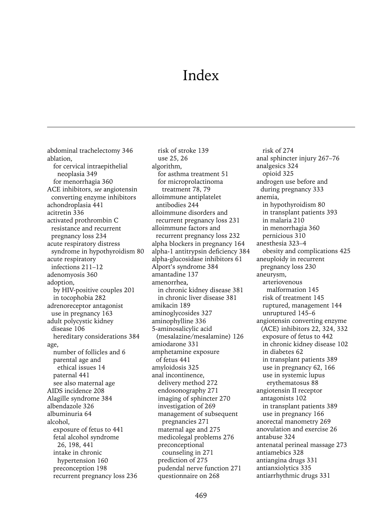# Index

abdominal trachelectomy 346 ablation, for cervical intraepithelial neoplasia 349 for menorrhagia 360 ACE inhibitors, *see* angiotensin converting enzyme inhibitors achondroplasia 441 acitretin 336 activated prothrombin C resistance and recurrent pregnancy loss 234 acute respiratory distress syndrome in hypothyroidism 80 acute respiratory infections 211–12 adenomyosis 360 adoption, by HIV-positive couples 201 in tocophobia 282 adrenoreceptor antagonist use in pregnancy 163 adult polycystic kidney disease 106 hereditary considerations 384 age, number of follicles and 6 parental age and ethical issues 14 paternal 441 see also maternal age AIDS incidence 208 Alagille syndrome 384 albendazole 326 albuminuria 64 alcohol, exposure of fetus to 441 fetal alcohol syndrome 26, 198, 441 intake in chronic hypertension 160 preconception 198 recurrent pregnancy loss 236

risk of stroke 139 use 25, 26 algorithm, for asthma treatment 51 for microprolactinoma treatment 78, 79 alloimmune antiplatelet antibodies 244 alloimmune disorders and recurrent pregnancy loss 231 alloimmune factors and recurrent pregnancy loss 232 alpha blockers in pregnancy 164 alpha-1 antitrypsin deficiency 384 alpha-glucosidase inhibitors 61 Alport's syndrome 384 amantadine 137 amenorrhea, in chronic kidney disease 381 in chronic liver disease 381 amikacin 189 aminoglycosides 327 aminophylline 336 5-aminosalicylic acid (mesalazine/mesalamine) 126 amiodarone 331 amphetamine exposure of fetus 441 amyloidosis 325 anal incontinence, delivery method 272 endosonography 271 imaging of sphincter 270 investigation of 269 management of subsequent pregnancies 271 maternal age and 275 medicolegal problems 276 preconceptional counseling in 271 prediction of 275 pudendal nerve function 271 questionnaire on 268

risk of 274 anal sphincter injury 267–76 analgesics 324 opioid 325 androgen use before and during pregnancy 333 anemia, in hypothyroidism 80 in transplant patients 393 in malaria 210 in menorrhagia 360 pernicious 310 anesthesia 323–4 obesity and complications 425 aneuploidy in recurrent pregnancy loss 230 aneurysm, arteriovenous malformation 145 risk of treatment 145 ruptured, management 144 unruptured 145–6 angiotensin converting enzyme (ACE) inhibitors 22, 324, 332 exposure of fetus to 442 in chronic kidney disease 102 in diabetes 62 in transplant patients 389 use in pregnancy 62, 166 use in systemic lupus erythematosus 88 angiotensin II receptor antagonists 102 in transplant patients 389 use in pregnancy 166 anorectal manometry 269 anovulation and exercise 26 antabuse 324 antenatal perineal massage 273 antiamebics 328 antiangina drugs 331 antianxiolytics 335 antiarrhythmic drugs 331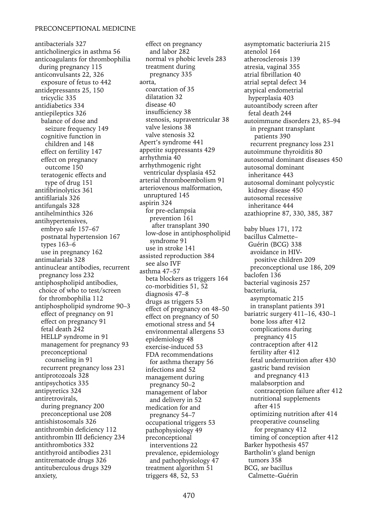antibacterials 327 anticholinergics in asthma 56 anticoagulants for thrombophilia during pregnancy 115 anticonvulsants 22, 326 exposure of fetus to 442 antidepressants 25, 150 tricyclic 335 antidiabetics 334 antiepileptics 326 balance of dose and seizure frequency 149 cognitive function in children and 148 effect on fertility 147 effect on pregnancy outcome 150 teratogenic effects and type of drug 151 antifibrinolytics 361 antifilarials 326 antifungals 328 antihelminthics 326 antihypertensives, embryo safe 157–67 postnatal hypertension 167 types 163–6 use in pregnancy 162 antimalarials 328 antinuclear antibodies, recurrent pregnancy loss 232 antiphospholipid antibodies, choice of who to test/screen for thrombophilia 112 antiphospholipid syndrome 90–3 effect of pregnancy on 91 effect on pregnancy 91 fetal death 242 HELLP syndrome in 91 management for pregnancy 93 preconceptional counseling in 91 recurrent pregnancy loss 231 antiprotozoals 328 antipsychotics 335 antipyretics 324 antiretrovirals, during pregnancy 200 preconceptional use 208 antishistosomals 326 antithrombin deficiency 112 antithrombin III deficiency 234 antithrombotics 332 antithyroid antibodies 231 antitrematode drugs 326 antituberculous drugs 329 anxiety,

effect on pregnancy and labor 282 normal vs phobic levels 283 treatment during pregnancy 335 aorta, coarctation of 35 dilatation 32 disease 40 insufficiency 38 stenosis, supraventricular 38 valve lesions 38 valve stenosis 32 Apert's syndrome 441 appetite suppressants 429 arrhythmia 40 arrhythmogenic right ventricular dysplasia 452 arterial thromboembolism 91 arteriovenous malformation, unruptured 145 aspirin 324 for pre-eclampsia prevention 161 after transplant 390 low-dose in antiphospholipid syndrome 91 use in stroke 141 assisted reproduction 384 see also IVF asthma 47–57 beta blockers as triggers 164 co-morbidities 51, 52 diagnosis 47–8 drugs as triggers 53 effect of pregnancy on 48–50 effect on pregnancy of 50 emotional stress and 54 environmental allergens 53 epidemiology 48 exercise-induced 53 FDA recommendations for asthma therapy 56 infections and 52 management during pregnancy 50–2 management of labor and delivery in 52 medication for and pregnancy 54–7 occupational triggers 53 pathophysiology 49 preconceptional interventions 22 prevalence, epidemiology and pathophysiology 47 treatment algorithm 51 triggers 48, 52, 53

asymptomatic bacteriuria 215 atenolol 164 atherosclerosis 139 atresia, vaginal 355 atrial fibrillation 40 atrial septal defect 34 atypical endometrial hyperplasia 403 autoantibody screen after fetal death 244 autoimmune disorders 23, 85–94 in pregnant transplant patients 390 recurrent pregnancy loss 231 autoimmune thyroiditis 80 autosomal dominant diseases 450 autosomal dominant inheritance 443 autosomal dominant polycystic kidney disease 450 autosomal recessive inheritance 444 azathioprine 87, 330, 385, 387 baby blues 171, 172 bacillus Calmette– Guérin (BCG) 338 avoidance in HIVpositive children 209 preconceptional use 186, 209 baclofen 136 bacterial vaginosis 257 bacteriuria, asymptomatic 215 in transplant patients 391 bariatric surgery 411–16, 430–1 bone loss after 412 complications during pregnancy 415 contraception after 412 fertility after 412 fetal undernutrition after 430 gastric band revision and pregnancy 413 malabsorption and contraception failure after 412 nutritional supplements after 415 optimizing nutrition after 414 preoperative counseling for pregnancy 412 timing of conception after 412 Barker hypothesis 457 Bartholin's gland benign tumors 358 BCG, *see* bacillus Calmette–Guérin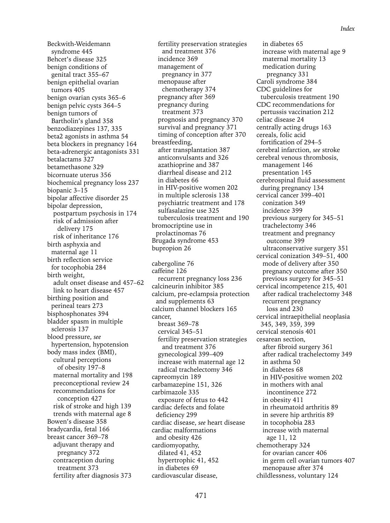Beckwith-Weidemann syndrome 445 Behcet's disease 325 benign conditions of genital tract 355–67 benign epithelial ovarian tumors 405 benign ovarian cysts 365–6 benign pelvic cysts 364–5 benign tumors of Bartholin's gland 358 benzodiazepines 137, 335 beta2 agonists in asthma 54 beta blockers in pregnancy 164 beta-adrenergic antagonists 331 betalactams 327 betamethasone 329 bicornuate uterus 356 biochemical pregnancy loss 237 biopanic 3–15 bipolar affective disorder 25 bipolar depression, postpartum psychosis in 174 risk of admission after delivery 175 risk of inheritance 176 birth asphyxia and maternal age 11 birth reflection service for tocophobia 284 birth weight, adult onset disease and 457–62 link to heart disease 457 birthing position and perineal tears 273 bisphosphonates 394 bladder spasm in multiple sclerosis 137 blood pressure, *see* hypertension, hypotension body mass index (BMI), cultural perceptions of obesity 197–8 maternal mortality and 198 preconceptional review 24 recommendations for conception 427 risk of stroke and high 139 trends with maternal age 8 Bowen's disease 358 bradycardia, fetal 166 breast cancer 369–78 adjuvant therapy and pregnancy 372 contraception during treatment 373 fertility after diagnosis 373

fertility preservation strategies and treatment 376 incidence 369 management of pregnancy in 377 menopause after chemotherapy 374 pregnancy after 369 pregnancy during treatment 373 prognosis and pregnancy 370 survival and pregnancy 371 timing of conception after 370 breastfeeding, after transplantation 387 anticonvulsants and 326 azathioprine and 387 diarrheal disease and 212 in diabetes 66 in HIV-positive women 202 in multiple sclerosis 138 psychiatric treatment and 178 sulfasalazine use 325 tuberculosis treatment and 190 bromocriptine use in prolactinomas 76 Brugada syndrome 453 bupropion 26

cabergoline 76 caffeine 126 recurrent pregnancy loss 236 calcineurin inhibitor 385 calcium, pre-eclampsia protection and supplements 63 calcium channel blockers 165 cancer, breast 369–78 cervical 345–51 fertility preservation strategies and treatment 376 gynecological 399–409 increase with maternal age 12 radical trachelectomy 346 capreomycin 189 carbamazepine 151, 326 carbimazole 335 exposure of fetus to 442 cardiac defects and folate deficiency 299 cardiac disease, *see* heart disease cardiac malformations and obesity 426 cardiomyopathy, dilated 41, 452 hypertrophic 41, 452 in diabetes 69 cardiovascular disease,

in diabetes 65 increase with maternal age 9 maternal mortality 13 medication during pregnancy 331 Caroli syndrome 384 CDC guidelines for tuberculosis treatment 190 CDC recommendations for pertussis vaccination 212 celiac disease 24 centrally acting drugs 163 cereals, folic acid fortification of 294–5 cerebral infarction, *see* stroke cerebral venous thrombosis, management 146 presentation 145 cerebrospinal fluid assessment during pregnancy 134 cervical cancer 399–401 conization 349 incidence 399 previous surgery for 345–51 trachelectomy 346 treatment and pregnancy outcome 399 ultraconservative surgery 351 cervical conization 349–51, 400 mode of delivery after 350 pregnancy outcome after 350 previous surgery for 345–51 cervical incompetence 215, 401 after radical trachelectomy 348 recurrent pregnancy loss and 230 cervical intraepithelial neoplasia 345, 349, 359, 399 cervical stenosis 401 cesarean section, after fibroid surgery 361 after radical trachelectomy 349 in asthma 50 in diabetes 68 in HIV-positive women 202 in mothers with anal incontinence 272 in obesity 411 in rheumatoid arthritis 89 in severe hip arthritis 89 in tocophobia 283 increase with maternal age 11, 12 chemotherapy 324 for ovarian cancer 406 in germ cell ovarian tumors 407 menopause after 374 childlessness, voluntary 124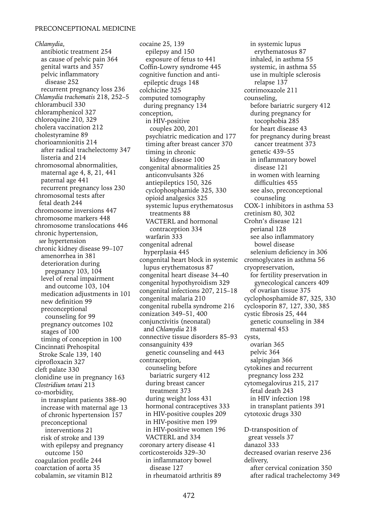*Chlamydia*, antibiotic treatment 254 as cause of pelvic pain 364 genital warts and 357 pelvic inflammatory disease 252 recurrent pregnancy loss 236 *Chlamydia trachomatis* 218, 252–5 chlorambucil 330 chloramphenicol 327 chloroquine 210, 329 cholera vaccination 212 cholestyramine 89 chorioamnionitis 214 after radical trachelectomy 347 listeria and 214 chromosomal abnormalities, maternal age 4, 8, 21, 441 paternal age 441 recurrent pregnancy loss 230 chromosomal tests after fetal death 244 chromosome inversions 447 chromosome markers 448 chromosome translocations 446 chronic hypertension, *see* hypertension chronic kidney disease 99–107 amenorrhea in 381 deterioration during pregnancy 103, 104 level of renal impairment and outcome 103, 104 medication adjustments in 101 new definition 99 preconceptional counseling for 99 pregnancy outcomes 102 stages of 100 timing of conception in 100 Cincinnati Prehospital Stroke Scale 139, 140 ciprofloxacin 327 cleft palate 330 clonidine use in pregnancy 163 *Clostridium tetani* 213 co-morbidity, in transplant patients 388–90 increase with maternal age 13 of chronic hypertension 157 preconceptional interventions 21 risk of stroke and 139 with epilepsy and pregnancy outcome 150 coagulation profile 244 coarctation of aorta 35 cobalamin, *see* vitamin B12

congenital heart block in systemic cromoglycates in asthma 56 connective tissue disorders 85–93 cysts, cocaine 25, 139 epilepsy and 150 exposure of fetus to 441 Coffin-Lowry syndrome 445 cognitive function and antiepileptic drugs 148 colchicine 325 computed tomography during pregnancy 134 conception, in HIV-positive couples 200, 201 psychiatric medication and 177 timing after breast cancer 370 timing in chronic kidney disease 100 congenital abnormalities 25 anticonvulsants 326 antiepileptics 150, 326 cyclophosphamide 325, 330 opioid analgesics 325 systemic lupus erythematosus treatments 88 VACTERL and hormonal contraception 334 warfarin 333 congenital adrenal hyperplasia 445 lupus erythematosus 87 congenital heart disease 34–40 congenital hypothyroidism 329 congenital infections 207, 215–18 congenital malaria 210 congenital rubella syndrome 216 conization 349–51, 400 conjunctivitis (neonatal) and *Chlamydia* 218 consanguinity 439 genetic counseling and 443 contraception, counseling before bariatric surgery 412 during breast cancer treatment 373 during weight loss 431 hormonal contraceptives 333 in HIV-positive couples 209 in HIV-positive men 199 in HIV-positive women 196 VACTERL and 334 coronary artery disease 41 corticosteroids 329–30 in inflammatory bowel disease 127 in rheumatoid arthritis 89

in systemic lupus erythematosus 87 inhaled, in asthma 55 systemic, in asthma 55 use in multiple sclerosis relapse 137 cotrimoxazole 211 counseling, before bariatric surgery 412 during pregnancy for tocophobia 285 for heart disease 43 for pregnancy during breast cancer treatment 373 genetic 439–55 in inflammatory bowel disease 121 in women with learning difficulties 455 see also, preconceptional counseling COX-1 inhibitors in asthma 53 cretinism 80, 302 Crohn's disease 121 perianal 128 see also inflammatory bowel disease selenium deficiency in 306 cryopreservation, for fertility preservation in gynecological cancers 409 of ovarian tissue 375 cyclophosphamide 87, 325, 330 cyclosporin 87, 127, 330, 385 cystic fibrosis 25, 444 genetic counseling in 384 maternal 453 ovarian 365 pelvic 364 salpingian 366 cytokines and recurrent pregnancy loss 232 cytomegalovirus 215, 217 fetal death 243 in HIV infection 198 in transplant patients 391 cytotoxic drugs 330 D-transposition of great vessels 37 danazol 333 decreased ovarian reserve 236 delivery, after cervical conization 350

after radical trachelectomy 349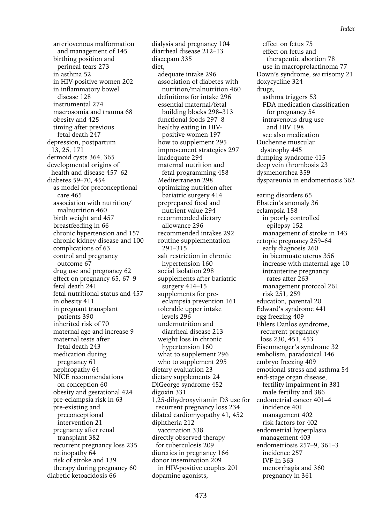arteriovenous malformation and management of 145 birthing position and perineal tears 273 in asthma 52 in HIV-positive women 202 in inflammatory bowel disease 128 instrumental 274 macrosomia and trauma 68 obesity and 425 timing after previous fetal death 247 depression, postpartum 13, 25, 171 dermoid cysts 364, 365 developmental origins of health and disease 457–62 diabetes 59–70, 454 as model for preconceptional care 465 association with nutrition/ malnutrition 460 birth weight and 457 breastfeeding in 66 chronic hypertension and 157 chronic kidney disease and 100 complications of 63 control and pregnancy outcome 67 drug use and pregnancy 62 effect on pregnancy 65, 67–9 fetal death 241 fetal nutritional status and 457 in obesity 411 in pregnant transplant patients 390 inherited risk of 70 maternal age and increase 9 maternal tests after fetal death 243 medication during pregnancy 61 nephropathy 64 NICE recommendations on conception 60 obesity and gestational 424 pre-eclampsia risk in 63 pre-existing and preconceptional intervention 21 pregnancy after renal transplant 382 recurrent pregnancy loss 235 retinopathy 64 risk of stroke and 139 therapy during pregnancy 60 diabetic ketoacidosis 66

1,25-dihydroxyvitamin D3 use for endometrial cancer 401-4 dialysis and pregnancy 104 diarrheal disease 212–13 diazepam 335 diet, adequate intake 296 association of diabetes with nutrition/malnutrition 460 definitions for intake 296 essential maternal/fetal building blocks 298–313 functional foods 297–8 healthy eating in HIVpositive women 197 how to supplement 295 improvement strategies 297 inadequate 294 maternal nutrition and fetal programming 458 Mediterranean 298 optimizing nutrition after bariatric surgery 414 preprepared food and nutrient value 294 recommended dietary allowance 296 recommended intakes 292 routine supplementation 291–315 salt restriction in chronic hypertension 160 social isolation 298 supplements after bariatric surgery 414–15 supplements for preeclampsia prevention 161 tolerable upper intake levels 296 undernutrition and diarrheal disease 213 weight loss in chronic hypertension 160 what to supplement 296 who to supplement 295 dietary evaluation 23 dietary supplements 24 DiGeorge syndrome 452 digoxin 331 recurrent pregnancy loss 234 dilated cardiomyopathy 41, 452 diphtheria 212 vaccination 338 directly observed therapy for tuberculosis 209 diuretics in pregnancy 166 donor insemination 209 in HIV-positive couples 201 dopamine agonists,

effect on fetus 75 effect on fetus and therapeutic abortion 78 use in macroprolactinoma 77 Down's syndrome, *see* trisomy 21 doxycycline 324 drugs, asthma triggers 53 FDA medication classification for pregnancy 54 intravenous drug use and HIV 198 see also medication Duchenne muscular dystrophy 445 dumping syndrome 415 deep vein thrombosis 23 dysmenorrhea 359 dyspareunia in endometriosis 362 eating disorders 65 Ebstein's anomaly 36 eclampsia 158 in poorly controlled epilepsy 152 management of stroke in 143 ectopic pregnancy 259–64 early diagnosis 260 in bicornuate uterus 356 increase with maternal age 10 intrauterine pregnancy rates after 263 management protocol 261 risk 251, 259 education, parental 20 Edward's syndrome 441 egg freezing 409 Ehlers Danlos syndrome, recurrent pregnancy loss 230, 451, 453 Eisenmenger's syndrome 32 embolism, paradoxical 146 embryo freezing 409 emotional stress and asthma 54 end-stage organ disease, fertility impairment in 381 male fertility and 386 incidence 401 management 402 risk factors for 402 endometrial hyperplasia management 403 endometriosis 257–9, 361–3 incidence 257 IVF in 363 menorrhagia and 360 pregnancy in 361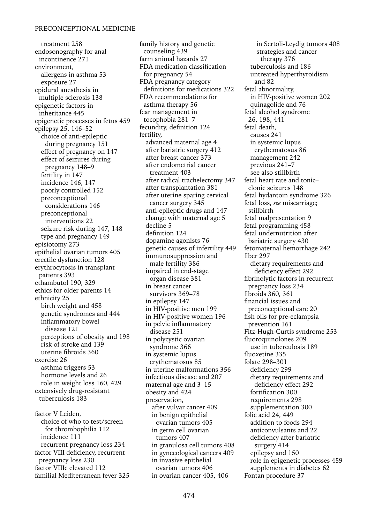treatment 258 endosonography for anal incontinence 271 environment, allergens in asthma 53 exposure 27 epidural anesthesia in multiple sclerosis 138 epigenetic factors in inheritance 445 epigenetic processes in fetus 459 epilepsy 25, 146–52 choice of anti-epileptic during pregnancy 151 effect of pregnancy on 147 effect of seizures during pregnancy 148–9 fertility in 147 incidence 146, 147 poorly controlled 152 preconceptional considerations 146 preconceptional interventions 22 seizure risk during 147, 148 type and pregnancy 149 episiotomy 273 epithelial ovarian tumors 405 erectile dysfunction 128 erythrocytosis in transplant patients 393 ethambutol 190, 329 ethics for older parents 14 ethnicity 25 birth weight and 458 genetic syndromes and 444 inflammatory bowel disease 121 perceptions of obesity and 198 risk of stroke and 139 uterine fibroids 360 exercise 26 asthma triggers 53 hormone levels and 26 role in weight loss 160, 429 extensively drug-resistant tuberculosis 183 factor V Leiden,

choice of who to test/screen for thrombophilia 112 incidence 111 recurrent pregnancy loss 234 factor VIII deficiency, recurrent pregnancy loss 230 factor VIIIc elevated 112 familial Mediterranean fever 325 family history and genetic counseling 439 farm animal hazards 27 FDA medication classification for pregnancy 54 FDA pregnancy category definitions for medications 322 FDA recommendations for asthma therapy 56 fear management in tocophobia 281–7 fecundity, definition 124 fertility, advanced maternal age 4 after bariatric surgery 412 after breast cancer 373 after endometrial cancer treatment 403 after radical trachelectomy 347 after transplantation 381 after uterine sparing cervical cancer surgery 345 anti-epileptic drugs and 147 change with maternal age 5 decline 5 definition 124 dopamine agonists 76 genetic causes of infertility 449 immunosuppression and male fertility 386 impaired in end-stage organ disease 381 in breast cancer survivors 369–78 in epilepsy 147 in HIV-positive men 199 in HIV-positive women 196 in pelvic inflammatory disease 251 in polycystic ovarian syndrome 366 in systemic lupus erythematosus 85 in uterine malformations 356 infectious disease and 207 maternal age and 3–15 obesity and 424 preservation, after vulvar cancer 409 in benign epithelial ovarian tumors 405 in germ cell ovarian tumors 407 in granulosa cell tumors 408 in gynecological cancers 409 in invasive epithelial ovarian tumors 406 in ovarian cancer 405, 406

in Sertoli-Leydig tumors 408 strategies and cancer therapy 376 tuberculosis and 186 untreated hyperthyroidism and 82 fetal abnormality, in HIV-positive women 202 quinagolide and 76 fetal alcohol syndrome 26, 198, 441 fetal death, causes 241 in systemic lupus erythematosus 86 management 242 previous 241–7 see also stillbirth fetal heart rate and tonic– clonic seizures 148 fetal hydantoin syndrome 326 fetal loss, *see* miscarriage; stillbirth fetal malpresentation 9 fetal programming 458 fetal undernutrition after bariatric surgery 430 fetomaternal hemorrhage 242 fiber 297 dietary requirements and deficiency effect 292 fibrinolytic factors in recurrent pregnancy loss 234 fibroids 360, 361 financial issues and preconceptional care 20 fish oils for pre-eclampsia prevention 161 Fitz-Hugh-Curtis syndrome 253 fluoroquinolones 209 use in tuberculosis 189 fluoxetine 335 folate 298–301 deficiency 299 dietary requirements and deficiency effect 292 fortification 300 requirements 298 supplementation 300 folic acid 24, 449 addition to foods 294 anticonvulsants and 22 deficiency after bariatric surgery 414 epilepsy and 150 role in epigenetic processes 459 supplements in diabetes 62 Fontan procedure 37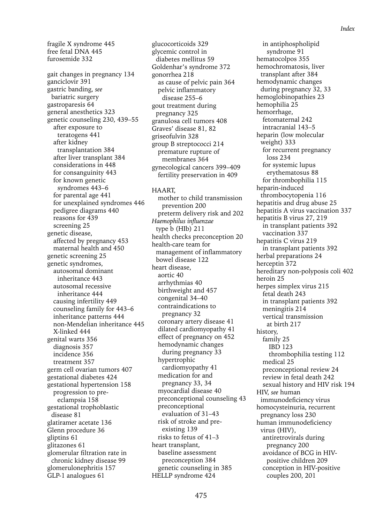fragile X syndrome 445 free fetal DNA 445 furosemide 332 gait changes in pregnancy 134 ganciclovir 391 gastric banding, *see* bariatric surgery gastroparesis 64 general anesthetics 323 genetic counseling 230, 439–55 after exposure to teratogens 441 after kidney transplantation 384 after liver transplant 384 considerations in 448 for consanguinity 443 for known genetic syndromes 443–6 for parental age 441 for unexplained syndromes 446 pedigree diagrams 440 reasons for 439 screening 25 genetic disease, affected by pregnancy 453 maternal health and 450 genetic screening 25 genetic syndromes, autosomal dominant inheritance 443 autosomal recessive inheritance 444 causing infertility 449 counseling family for 443–6 inheritance patterns 444 non-Mendelian inheritance 445 X-linked 444 genital warts 356 diagnosis 357 incidence 356 treatment 357 germ cell ovarian tumors 407 gestational diabetes 424 gestational hypertension 158 progression to preeclampsia 158 gestational trophoblastic disease 81 glatiramer acetate 136 Glenn procedure 36 gliptins 61 glitazones 61 glomerular filtration rate in chronic kidney disease 99 glomerulonephritis 157 GLP-1 analogues 61

glucocorticoids 329 glycemic control in diabetes mellitus 59 Goldenhar's syndrome 372 gonorrhea 218 as cause of pelvic pain 364 pelvic inflammatory disease 255–6 gout treatment during pregnancy 325 granulosa cell tumors 408 Graves' disease 81, 82 griseofulvin 328 group B streptococci 214 premature rupture of membranes 364 gynecological cancers 399–409 fertility preservation in 409

HAART, mother to child transmission prevention 200 preterm delivery risk and 202 *Haemophilus influenzae* type b (HIb) 211 health checks preconception 20 health-care team for management of inflammatory bowel disease 122 heart disease, aortic 40 arrhythmias 40 birthweight and 457 congenital 34–40 contraindications to pregnancy 32 coronary artery disease 41 dilated cardiomyopathy 41 effect of pregnancy on 452 hemodynamic changes during pregnancy 33 hypertrophic cardiomyopathy 41 medication for and pregnancy 33, 34 myocardial disease 40 preconceptional counseling 43 preconceptional evaluation of 31–43 risk of stroke and preexisting 139 risks to fetus of 41–3 heart transplant, baseline assessment preconception 384 genetic counseling in 385 HELLP syndrome 424

in antiphospholipid syndrome 91 hematocolpos 355 hemochromatosis, liver transplant after 384 hemodynamic changes during pregnancy 32, 33 hemoglobinopathies 23 hemophilia 25 hemorrhage, fetomaternal 242 intracranial 143–5 heparin (low molecular weight) 333 for recurrent pregnancy loss 234 for systemic lupus erythematosus 88 for thrombophilia 115 heparin-induced thrombocytopenia 116 hepatitis and drug abuse 25 hepatitis A virus vaccination 337 hepatitis B virus 27, 219 in transplant patients 392 vaccination 337 hepatitis C virus 219 in transplant patients 392 herbal preparations 24 herceptin 372 hereditary non-polyposis coli 402 heroin 25 herpes simplex virus 215 fetal death 243 in transplant patients 392 meningitis 214 vertical transmission at birth 217 history, family 25 IBD 123 thrombophilia testing 112 medical 25 preconceptional review 24 review in fetal death 242 sexual history and HIV risk 194 HIV, *see* human immunodeficiency virus homocysteinuria, recurrent pregnancy loss 230 human immunodeficiency virus (HIV), antiretrovirals during pregnancy 200 avoidance of BCG in HIVpositive children 209 conception in HIV-positive couples 200, 201

*Index*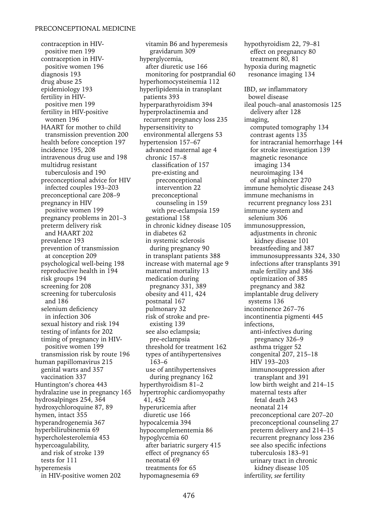contraception in HIVpositive men 199 contraception in HIVpositive women 196 diagnosis 193 drug abuse 25 epidemiology 193 fertility in HIVpositive men 199 fertility in HIV-positive women 196 HAART for mother to child transmission prevention 200 health before conception 197 incidence 195, 208 intravenous drug use and 198 multidrug resistant tuberculosis and 190 preconceptional advice for HIV infected couples 193–203 preconceptional care 208–9 pregnancy in HIV positive women 199 pregnancy problems in 201–3 preterm delivery risk and HAART 202 prevalence 193 prevention of transmission at conception 209 psychological well-being 198 reproductive health in 194 risk groups 194 screening for 208 screening for tuberculosis and 186 selenium deficiency in infection 306 sexual history and risk 194 testing of infants for 202 timing of pregnancy in HIVpositive women 199 transmission risk by route 196 human papillomavirus 215 genital warts and 357 vaccination 337 Huntington's chorea 443 hydralazine use in pregnancy 165 hydrosalpinges 254, 364 hydroxychloroquine 87, 89 hymen, intact 355 hyperandrogenemia 367 hyperbilirubinemia 69 hypercholesterolemia 453 hypercoagulability, and risk of stroke 139 tests for 111 hyperemesis in HIV-positive women 202

vitamin B6 and hyperemesis gravidarum 309 hyperglycemia, after diuretic use 166 monitoring for postprandial 60 hyperhomocysteinemia 112 hyperlipidemia in transplant patients 393 hyperparathyroidism 394 hyperprolactinemia and recurrent pregnancy loss 235 hypersensitivity to environmental allergens 53 hypertension 157–67 advanced maternal age 4 chronic 157–8 classification of 157 pre-existing and preconceptional intervention 22 preconceptional counseling in 159 with pre-eclampsia 159 gestational 158 in chronic kidney disease 105 in diabetes 62 in systemic sclerosis during pregnancy 90 in transplant patients 388 increase with maternal age 9 maternal mortality 13 medication during pregnancy 331, 389 obesity and 411, 424 postnatal 167 pulmonary 32 risk of stroke and preexisting 139 see also eclampsia; pre-eclampsia threshold for treatment 162 types of antihypertensives 163–6 use of antihypertensives during pregnancy 162 hyperthyroidism 81–2 hypertrophic cardiomyopathy 41, 452 hyperuricemia after diuretic use 166 hypocalcemia 394 hypocomplementemia 86 hypoglycemia 60 after bariatric surgery 415 effect of pregnancy 65 neonatal 69 treatments for 65 hypomagnesemia 69

hypothyroidism 22, 79–81 effect on pregnancy 80 treatment 80, 81 hypoxia during magnetic resonance imaging 134 IBD, *see* inflammatory bowel disease ileal pouch–anal anastomosis 125 delivery after 128 imaging, computed tomography 134 contrast agents 135 for intracranial hemorrhage 144 for stroke investigation 139 magnetic resonance imaging 134 neuroimaging 134 of anal sphincter 270 immune hemolytic disease 243 immune mechanisms in recurrent pregnancy loss 231 immune system and selenium 306 immunosuppression, adjustments in chronic kidney disease 101 breastfeeding and 387 immunosuppressants 324, 330 infections after transplants 391 male fertility and 386 optimization of 385 pregnancy and 382 implantable drug delivery systems 136 incontinence 267–76 incontinentia pigmenti 445 infections, anti-infectives during pregnancy 326–9 asthma trigger 52 congenital 207, 215–18 HIV 193–203 immunosuppression after transplant and 391 low birth weight and 214–15 maternal tests after fetal death 243 neonatal 214 preconceptional care 207–20 preconceptional counseling 27 preterm delivery and 214–15 recurrent pregnancy loss 236 see also specific infections tuberculosis 183–91 urinary tract in chronic kidney disease 105 infertility, *see* fertility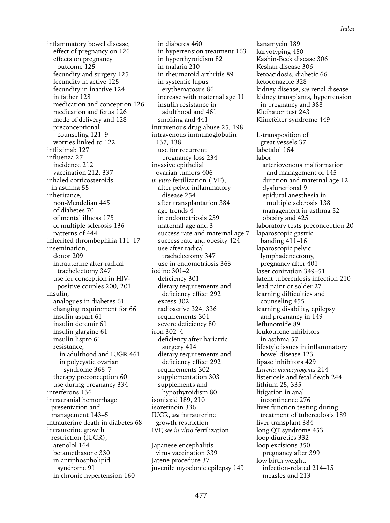inflammatory bowel disease, effect of pregnancy on 126 effects on pregnancy outcome 125 fecundity and surgery 125 fecundity in active 125 fecundity in inactive 124 in father 128 medication and conception 126 medication and fetus 126 mode of delivery and 128 preconceptional counseling 121–9 worries linked to 122 infliximab 127 influenza 27 incidence 212 vaccination 212, 337 inhaled corticosteroids in asthma 55 inheritance, non-Mendelian 445 of diabetes 70 of mental illness 175 of multiple sclerosis 136 patterns of 444 inherited thrombophilia 111–17 insemination, donor 209 intrauterine after radical trachelectomy 347 use for conception in HIVpositive couples 200, 201 insulin, analogues in diabetes 61 changing requirement for 66 insulin aspart 61 insulin detemir 61 insulin glargine 61 insulin lispro 61 resistance, in adulthood and IUGR 461 in polycystic ovarian syndrome 366–7 therapy preconception 60 use during pregnancy 334 interferons 136 intracranial hemorrhage presentation and management 143–5 intrauterine death in diabetes 68 intrauterine growth restriction (IUGR), atenolol 164 betamethasone 330 in antiphospholipid syndrome 91

in chronic hypertension 160

in diabetes 460 in hypertension treatment 163 in hyperthyroidism 82 in malaria 210 in rheumatoid arthritis 89 in systemic lupus erythematosus 86 increase with maternal age 11 insulin resistance in adulthood and 461 smoking and 441 intravenous drug abuse 25, 198 intravenous immunoglobulin 137, 138 use for recurrent pregnancy loss 234 invasive epithelial ovarian tumors 406 *in vitro* fertilization (IVF), after pelvic inflammatory disease 254 after transplantation 384 age trends 4 in endometriosis 259 maternal age and 3 success rate and maternal age 7 success rate and obesity 424 use after radical trachelectomy 347 use in endometriosis 363 iodine 301–2 deficiency 301 dietary requirements and deficiency effect 292 excess 302 radioactive 324, 336 requirements 301 severe deficiency 80 iron 302–4 deficiency after bariatric surgery 414 dietary requirements and deficiency effect 292 requirements 302 supplementation 303 supplements and hypothyroidism 80 isoniazid 189, 210 isoretinoin 336 IUGR, *see* intrauterine growth restriction IVF, *see in vitro* fertilization Japanese encephalitis

virus vaccination 339 Jatene procedure 37 juvenile myoclonic epilepsy 149 kanamycin 189 karyotyping 450 Kashin-Beck disease 306 Keshan disease 306 ketoacidosis, diabetic 66 ketoconazole 328 kidney disease, *see* renal disease kidney transplants, hypertension in pregnancy and 388 Kleihauer test 243 Klinefelter syndrome 449 L-transposition of great vessels 37 labetalol 164 labor arteriovenous malformation and management of 145 duration and maternal age 12 dysfunctional 9 epidural anesthesia in multiple sclerosis 138 management in asthma 52 obesity and 425 laboratory tests preconception 20 laparoscopic gastric banding 411–16 laparoscopic pelvic lymphadenectomy, pregnancy after 401 laser conization 349–51 latent tuberculosis infection 210 lead paint or solder 27 learning difficulties and counseling 455 learning disability, epilepsy and pregnancy in 149 leflunomide 89 leukotriene inhibitors in asthma 57 lifestyle issues in inflammatory bowel disease 123 lipase inhibitors 429 *Listeria monocytogenes* 214 listeriosis and fetal death 244 lithium 25, 335 litigation in anal incontinence 276 liver function testing during treatment of tuberculosis 189 liver transplant 384 long QT syndrome 453 loop diuretics 332 loop excisions 350 pregnancy after 399 low birth weight, infection-related 214–15 measles and 213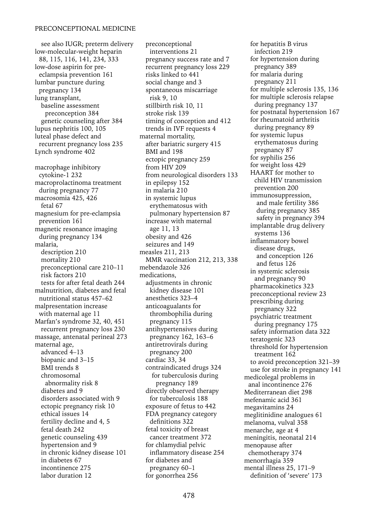see also IUGR; preterm delivery low-molecular-weight heparin 88, 115, 116, 141, 234, 333 low-dose aspirin for preeclampsia prevention 161 lumbar puncture during pregnancy 134 lung transplant, baseline assessment preconception 384 genetic counseling after 384 lupus nephritis 100, 105 luteal phase defect and recurrent pregnancy loss 235 Lynch syndrome 402 macrophage inhibitory cytokine-1 232 macroprolactinoma treatment during pregnancy 77 macrosomia 425, 426 fetal 67 magnesium for pre-eclampsia prevention 161 magnetic resonance imaging during pregnancy 134 malaria, description 210 mortality 210 preconceptional care 210–11 risk factors 210 tests for after fetal death 244 malnutrition, diabetes and fetal nutritional status 457–62 malpresentation increase with maternal age 11 Marfan's syndrome 32, 40, 451 recurrent pregnancy loss 230 massage, antenatal perineal 273 maternal age, advanced 4–13 biopanic and 3–15 BMI trends 8 chromosomal abnormality risk 8 diabetes and 9 disorders associated with 9 ectopic pregnancy risk 10 ethical issues 14 fertility decline and 4, 5 fetal death 242 genetic counseling 439 hypertension and 9 in chronic kidney disease 101 in diabetes 67 incontinence 275 labor duration 12

preconceptional interventions 21 pregnancy success rate and 7 recurrent pregnancy loss 229 risks linked to 441 social change and 3 spontaneous miscarriage risk 9, 10 stillbirth risk 10, 11 stroke risk 139 timing of conception and 412 trends in IVF requests 4 maternal mortality, after bariatric surgery 415 BMI and 198 ectopic pregnancy 259 from HIV 209 from neurological disorders 133 in epilepsy 152 in malaria 210 in systemic lupus erythematosus with pulmonary hypertension 87 increase with maternal age 11, 13 obesity and 426 seizures and 149 measles 211, 213 MMR vaccination 212, 213, 338 mebendazole 326 medications, adjustments in chronic kidney disease 101 anesthetics 323–4 anticoagualants for thrombophilia during pregnancy 115 antihypertensives during pregnancy 162, 163–6 antiretrovirals during pregnancy 200 cardiac 33, 34 contraindicated drugs 324 for tuberculosis during pregnancy 189 directly observed therapy for tuberculosis 188 exposure of fetus to 442 FDA pregnancy category definitions 322 fetal toxicity of breast cancer treatment 372 for chlamydial pelvic inflammatory disease 254 for diabetes and pregnancy 60–1 for gonorrhea 256

for hepatitis B virus infection 219 for hypertension during pregnancy 389 for malaria during pregnancy 211 for multiple sclerosis 135, 136 for multiple sclerosis relapse during pregnancy 137 for postnatal hypertension 167 for rheumatoid arthritis during pregnancy 89 for systemic lupus erythematosus during pregnancy 87 for syphilis 256 for weight loss 429 HAART for mother to child HIV transmission prevention 200 immunosuppression, and male fertility 386 during pregnancy 385 safety in pregnancy 394 implantable drug delivery systems 136 inflammatory bowel disease drugs, and conception 126 and fetus 126 in systemic sclerosis and pregnancy 90 pharmacokinetics 323 preconceptional review 23 prescribing during pregnancy 322 psychiatric treatment during pregnancy 175 safety information data 322 teratogenic 323 threshold for hypertension treatment 162 to avoid preconception 321–39 use for stroke in pregnancy 141 medicolegal problems in anal incontinence 276 Mediterranean diet 298 mefenamic acid 361 megavitamins 24 meglitinidine analogues 61 melanoma, vulval 358 menarche, age at 4 meningitis, neonatal 214 menopause after chemotherapy 374 menorrhagia 359 mental illness 25, 171–9 definition of 'severe' 173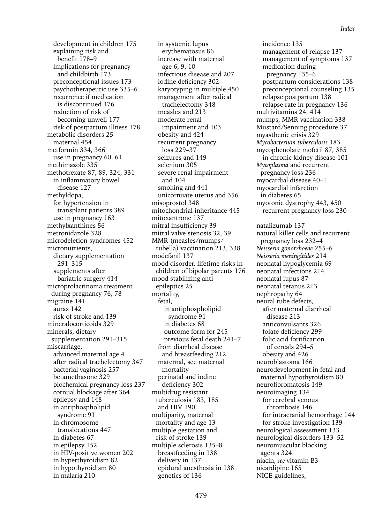*Index*

development in children 175 explaining risk and benefit 178–9 implications for pregnancy and childbirth 173 preconceptional issues 173 psychotherapeutic use 335–6 recurrence if medication is discontinued 176 reduction of risk of becoming unwell 177 risk of postpartum illness 178 metabolic disorders 25 maternal 454 metformin 334, 366 use in pregnancy 60, 61 methimazole 335 methotrexate 87, 89, 324, 331 in inflammatory bowel disease 127 methyldopa, for hypertension in transplant patients 389 use in pregnancy 163 methylxanthines 56 metronidazole 328 microdeletion syndromes 452 micronutrients, dietary supplementation 291–315 supplements after bariatric surgery 414 microprolactinoma treatment during pregnancy 76, 78 migraine 141 auras 142 risk of stroke and 139 mineralocorticoids 329 minerals, dietary supplementation 291–315 miscarriage, advanced maternal age 4 after radical trachelectomy 347 bacterial vaginosis 257 betamethasone 329 biochemical pregnancy loss 237 cornual blockage after 364 epilepsy and 148 in antiphospholipid syndrome 91 in chromosome translocations 447 in diabetes 67 in epilepsy 152 in HIV-positive women 202 in hyperthyroidism 82 in hypothyroidism 80 in malaria 210

in systemic lupus erythematosus 86 increase with maternal age 6, 9, 10 infectious disease and 207 iodine deficiency 302 karyotyping in multiple 450 management after radical trachelectomy 348 measles and 213 moderate renal impairment and 103 obesity and 424 recurrent pregnancy loss 229–37 seizures and 149 selenium 305 severe renal impairment and 104 smoking and 441 unicornuate uterus and 356 misoprostol 348 mitochondrial inheritance 445 mitoxantrone 137 mitral insufficiency 39 mitral valve stenosis 32, 39 MMR (measles/mumps/ rubella) vaccination 213, 338 modefanil 137 mood disorder, lifetime risks in children of bipolar parents 176 mood stabilizing antiepileptics 25 mortality, fetal, in antiphospholipid syndrome 91 in diabetes 68 outcome form for 245 previous fetal death 241–7 from diarrheal disease and breastfeeding 212 maternal, see maternal mortality perinatal and iodine deficiency 302 multidrug resistant tuberculosis 183, 185 and HIV 190 multiparity, maternal mortality and age 13 multiple gestation and risk of stroke 139 multiple sclerosis 135–8 breastfeeding in 138 delivery in 137 epidural anesthesia in 138 genetics of 136

incidence 135 management of relapse 137 management of symptoms 137 medication during pregnancy 135–6 postpartum considerations 138 preconceptional counseling 135 relapse postpartum 138 relapse rate in pregnancy 136 multivitamins 24, 414 mumps, MMR vaccination 338 Mustard/Senning procedure 37 myasthenic crisis 329 *Mycobacterium tuberculosis* 183 mycophenolate mofetil 87, 385 in chronic kidney disease 101 *Mycoplasma* and recurrent pregnancy loss 236 myocardial disease 40–1 myocardial infarction in diabetes 65 myotonic dystrophy 443, 450 recurrent pregnancy loss 230 natalizumab 137 natural killer cells and recurrent pregnancy loss 232–4 *Neisseria gonorrhoeae* 255–6 *Neisseria meningitides* 214 neonatal hypoglycemia 69 neonatal infections 214 neonatal lupus 87 neonatal tetanus 213 nephropathy 64 neural tube defects, after maternal diarrheal disease 213 anticonvulsants 326 folate deficiency 299 folic acid fortification of cereals 294–5 obesity and 426 neuroblastoma 166 neurodevelopment in fetal and maternal hypothyroidism 80 neurofibromatosis 149 neuroimaging 134 for cerebral venous thrombosis 146 for intracranial hemorrhage 144 for stroke investigation 139 neurological assessment 133 neurological disorders 133–52 neuromuscular blocking agents 324 niacin, *see* vitamin B3 nicardipine 165 NICE guidelines,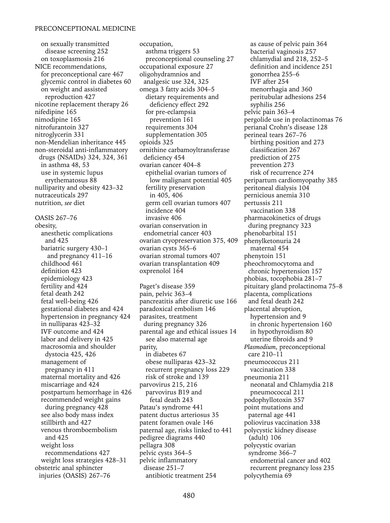on sexually transmitted disease screening 252 on toxoplasmosis 216 NICE recommendations, for preconceptional care 467 glycemic control in diabetes 60 on weight and assisted reproduction 427 nicotine replacement therapy 26 nifedipine 165 nimodipine 165 nitrofurantoin 327 nitroglycerin 331 non-Mendelian inheritance 445 non-steroidal anti-inflammatory drugs (NSAIDs) 324, 324, 361 in asthma 48, 53 use in systemic lupus erythematosus 88 nulliparity and obesity 423–32 nutraceuticals 297 nutrition, *see* diet OASIS 267–76 obesity, anesthetic complications and 425 bariatric surgery 430–1 and pregnancy 411–16 childhood 461 definition 423 epidemiology 423 fertility and 424 fetal death 242 fetal well-being 426 gestational diabetes and 424 hypertension in pregnancy 424 in nulliparas 423–32 IVF outcome and 424 labor and delivery in 425 macrosomia and shoulder dystocia 425, 426 management of pregnancy in 411 maternal mortality and 426 miscarriage and 424 postpartum hemorrhage in 426

recommended weight gains during pregnancy 428 see also body mass index stillbirth and 427 venous thromboembolism and 425 weight loss recommendations 427 weight loss strategies 428–31 obstetric anal sphincter injuries (OASIS) 267–76

occupation, asthma triggers 53 preconceptional counseling 27 occupational exposure 27 oligohydramnios and analgesic use 324, 325 omega 3 fatty acids 304–5 dietary requirements and deficiency effect 292 for pre-eclampsia prevention 161 requirements 304 supplementation 305 opioids 325 ornithine carbamoyltransferase deficiency 454 ovarian cancer 404–8 epithelial ovarian tumors of low malignant potential 405 fertility preservation in 405, 406 germ cell ovarian tumors 407 incidence 404 invasive 406 ovarian conservation in endometrial cancer 403 ovarian cryopreservation 375, 409 ovarian cysts 365–6 ovarian stromal tumors 407 ovarian transplantation 409 oxprenolol 164

Paget's disease 359 pain, pelvic 363–4 pancreatitis after diuretic use 166 paradoxical embolism 146 parasites, treatment during pregnancy 326 parental age and ethical issues 14 see also maternal age parity, in diabetes 67 obese nulliparas 423–32 recurrent pregnancy loss 229 risk of stroke and 139 parvovirus 215, 216 parvovirus B19 and fetal death 243 Patau's syndrome 441 patent ductus arteriosus 35 patent foramen ovale 146 paternal age, risks linked to 441 pedigree diagrams 440 pellagra 308 pelvic cysts 364–5 pelvic inflammatory disease 251–7 antibiotic treatment 254

as cause of pelvic pain 364 bacterial vaginosis 257 chlamydial and 218, 252–5 definition and incidence 251 gonorrhea 255–6 IVF after 254 menorrhagia and 360 peritubular adhesions 254 syphilis 256 pelvic pain 363–4 pergolide use in prolactinomas 76 perianal Crohn's disease 128 perineal tears 267–76 birthing position and 273 classification 267 prediction of 275 prevention 273 risk of recurrence 274 peripartum cardiomyopathy 385 peritoneal dialysis 104 pernicious anemia 310 pertussis 211 vaccination 338 pharmacokinetics of drugs during pregnancy 323 phenobarbital 151 phenylketonuria 24 maternal 454 phenytoin 151 pheochromocytoma and chronic hypertension 157 phobias, tocophobia 281–7 pituitary gland prolactinoma 75–8 placenta, complications and fetal death 242 placental abruption, hypertension and 9 in chronic hypertension 160 in hypothyroidism 80 uterine fibroids and 9 *Plasmodium*, preconceptional care 210–11 pneumococcus 211 vaccination 338 pneumonia 211 neonatal and Chlamydia 218 pneumococcal 211 podophyllotoxin 357 point mutations and paternal age 441 poliovirus vaccination 338 polycystic kidney disease (adult) 106 polycystic ovarian syndrome 366–7 endometrial cancer and 402 recurrent pregnancy loss 235 polycythemia 69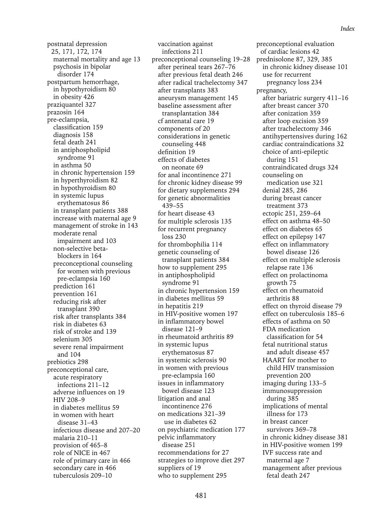postnatal depression 25, 171, 172, 174 maternal mortality and age 13 psychosis in bipolar disorder 174 postpartum hemorrhage, in hypothyroidism 80 in obesity 426 praziquantel 327 prazosin 164 pre-eclampsia, classification 159 diagnosis 158 fetal death 241 in antiphospholipid syndrome 91 in asthma 50 in chronic hypertension 159 in hyperthyroidism 82 in hypothyroidism 80 in systemic lupus erythematosus 86 in transplant patients 388 increase with maternal age 9 management of stroke in 143 moderate renal impairment and 103 non-selective betablockers in 164 preconceptional counseling for women with previous pre-eclampsia 160 prediction 161 prevention 161 reducing risk after transplant 390 risk after transplants 384 risk in diabetes 63 risk of stroke and 139 selenium 305 severe renal impairment and 104 prebiotics 298 preconceptional care, acute respiratory infections 211–12 adverse influences on 19 HIV 208–9 in diabetes mellitus 59 in women with heart disease 31–43 infectious disease and 207–20 malaria 210–11 provision of 465–8 role of NICE in 467 role of primary care in 466 secondary care in 466 tuberculosis 209–10

vaccination against infections 211 preconceptional counseling 19–28 after perineal tears 267–76 after previous fetal death 246 after radical trachelectomy 347 after transplants 383 aneurysm management 145 baseline assessment after transplantation 384 cf antenatal care 19 components of 20 considerations in genetic counseling 448 definition 19 effects of diabetes on neonate 69 for anal incontinence 271 for chronic kidney disease 99 for dietary supplements 294 for genetic abnormalities 439–55 for heart disease 43 for multiple sclerosis 135 for recurrent pregnancy loss 230 for thrombophilia 114 genetic counseling of transplant patients 384 how to supplement 295 in antiphospholipid syndrome 91 in chronic hypertension 159 in diabetes mellitus 59 in hepatitis 219 in HIV-positive women 197 in inflammatory bowel disease 121–9 in rheumatoid arthritis 89 in systemic lupus erythematosus 87 in systemic sclerosis 90 in women with previous pre-eclampsia 160 issues in inflammatory bowel disease 123 litigation and anal incontinence 276 on medications 321–39 use in diabetes 62 on psychiatric medication 177 pelvic inflammatory disease 251 recommendations for 27 strategies to improve diet 297 suppliers of 19 who to supplement 295

preconceptional evaluation of cardiac lesions 42 prednisolone 87, 329, 385 in chronic kidney disease 101 use for recurrent pregnancy loss 234 pregnancy, after bariatric surgery 411–16 after breast cancer 370 after conization 359 after loop excision 359 after trachelectomy 346 antihypertensives during 162 cardiac contraindications 32 choice of anti-epileptic during 151 contraindicated drugs 324 counseling on medication use 321 denial 285, 286 during breast cancer treatment 373 ectopic 251, 259–64 effect on asthma 48–50 effect on diabetes 65 effect on epilepsy 147 effect on inflammatory bowel disease 126 effect on multiple sclerosis relapse rate 136 effect on prolactinoma growth 75 effect on rheumatoid arthritis 88 effect on thyroid disease 79 effect on tuberculosis 185–6 effects of asthma on 50 FDA medication classification for 54 fetal nutritional status and adult disease 457 HAART for mother to child HIV transmission prevention 200 imaging during 133–5 immunosuppression during 385 implications of mental illness for 173 in breast cancer survivors 369–78 in chronic kidney disease 381 in HIV-positive women 199 IVF success rate and maternal age 7 management after previous fetal death 247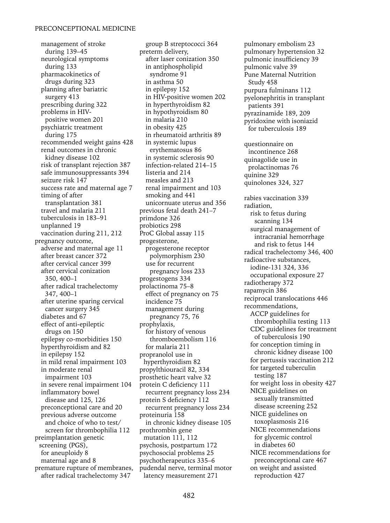management of stroke during 139–45 neurological symptoms during 133 pharmacokinetics of drugs during 323 planning after bariatric surgery 413 prescribing during 322 problems in HIVpositive women 201 psychiatric treatment during 175 recommended weight gains 428 renal outcomes in chronic kidney disease 102 risk of transplant rejection 387 safe immunosuppressants 394 seizure risk 147 success rate and maternal age 7 timing of after transplantation 381 travel and malaria 211 tuberculosis in 183–91 unplanned 19 vaccination during 211, 212 pregnancy outcome, adverse and maternal age 11 after breast cancer 372 after cervical cancer 399 after cervical conization 350, 400–1 after radical trachelectomy 347, 400–1 after uterine sparing cervical cancer surgery 345 diabetes and 67 effect of anti-epileptic drugs on 150 epilepsy co-morbidities 150 hyperthyroidism and 82 in epilepsy 152 in mild renal impairment 103 in moderate renal impairment 103 in severe renal impairment 104 inflammatory bowel disease and 125, 126 preconceptional care and 20 previous adverse outcome and choice of who to test/ screen for thrombophilia 112 preimplantation genetic screening (PGS), for aneuploidy 8 maternal age and 8 premature rupture of membranes, after radical trachelectomy 347

group B streptococci 364 preterm delivery, after laser conization 350 in antiphospholipid syndrome 91 in asthma 50 in epilepsy 152 in HIV-positive women 202 in hyperthyroidism 82 in hypothyroidism 80 in malaria 210 in obesity 425 in rheumatoid arthritis 89 in systemic lupus erythematosus 86 in systemic sclerosis 90 infection-related 214–15 listeria and 214 measles and 213 renal impairment and 103 smoking and 441 unicornuate uterus and 356 previous fetal death 241–7 primdone 326 probiotics 298 ProC Global assay 115 progesterone, progesterone receptor polymorphism 230 use for recurrent pregnancy loss 233 progestogens 334 prolactinoma 75–8 effect of pregnancy on 75 incidence 75 management during pregnancy 75, 76 prophylaxis, for history of venous thromboembolism 116 for malaria 211 propranolol use in hyperthyroidism 82 propylthiouracil 82, 334 prosthetic heart valve 32 protein C deficiency 111 recurrent pregnancy loss 234 protein S deficiency 112 recurrent pregnancy loss 234 proteinuria 158 in chronic kidney disease 105 prothrombin gene mutation 111, 112 psychosis, postpartum 172 psychosocial problems 25 psychotherapeutics 335–6 pudendal nerve, terminal motor latency measurement 271

pulmonary embolism 23 pulmonary hypertension 32 pulmonic insufficiency 39 pulmonic valve 39 Pune Maternal Nutrition Study 458 purpura fulminans 112 pyelonephritis in transplant patients 391 pyrazinamide 189, 209 pyridoxine with isoniazid for tuberculosis 189 questionnaire on incontinence 268 quinagolide use in prolactinomas 76 quinine 329 quinolones 324, 327 rabies vaccination 339 radiation, risk to fetus during scanning 134 surgical management of intracranial hemorrhage and risk to fetus 144 radical trachelectomy 346, 400 radioactive substances, iodine-131 324, 336 occupational exposure 27 radiotherapy 372 rapamycin 386 reciprocal translocations 446 recommendations, ACCP guidelines for thrombophilia testing 113 CDC guidelines for treatment of tuberculosis 190 for conception timing in chronic kidney disease 100 for pertussis vaccination 212 for targeted tuberculin testing 187 for weight loss in obesity 427 NICE guidelines on sexually transmitted disease screening 252 NICE guidelines on toxoplasmosis 216 NICE recommendations for glycemic control in diabetes 60 NICE recommendations for preconceptional care 467 on weight and assisted reproduction 427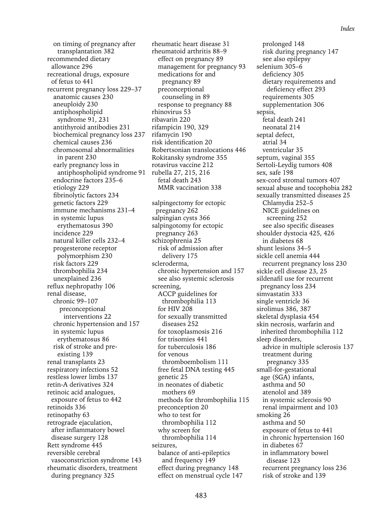on timing of pregnancy after transplantation 382 recommended dietary allowance 296 recreational drugs, exposure of fetus to 441 recurrent pregnancy loss 229–37 anatomic causes 230 aneuploidy 230 antiphospholipid syndrome 91, 231 antithyroid antibodies 231 biochemical pregnancy loss 237 chemical causes 236 chromosomal abnormalities in parent 230 early pregnancy loss in antiphospholipid syndrome 91 endocrine factors 235–6 etiology 229 fibrinolytic factors 234 genetic factors 229 immune mechanisms 231–4 in systemic lupus erythematosus 390 incidence 229 natural killer cells 232–4 progesterone receptor polymorphism 230 risk factors 229 thrombophilia 234 unexplained 236 reflux nephropathy 106 renal disease, chronic 99–107 preconceptional interventions 22 chronic hypertension and 157 in systemic lupus erythematosus 86 risk of stroke and preexisting 139 renal transplants 23 respiratory infections 52 restless lower limbs 137 retin-A derivatives 324 retinoic acid analogues, exposure of fetus to 442 retinoids 336 retinopathy 63 retrograde ejaculation, after inflammatory bowel disease surgery 128 Rett syndrome 445 reversible cerebral vasoconstriction syndrome 143 rheumatic disorders, treatment during pregnancy 325

rheumatic heart disease 31 rheumatoid arthritis 88–9 effect on pregnancy 89 management for pregnancy 93 medications for and pregnancy 89 preconceptional counseling in 89 response to pregnancy 88 rhinovirus 53 ribavarin 220 rifampicin 190, 329 rifamycin 190 risk identification 20 Robertsonian translocations 446 Rokitansky syndrome 355 rotavirus vaccine 212 rubella 27, 215, 216 fetal death 243 MMR vaccination 338 salpingectomy for ectopic pregnancy 262 salpingian cysts 366 salpingotomy for ectopic pregnancy 263 schizophrenia 25 risk of admission after delivery 175 scleroderma, chronic hypertension and 157 see also systemic sclerosis screening, ACCP guidelines for thrombophilia 113 for HIV 208 for sexually transmitted diseases 252 for toxoplasmosis 216 for trisomies 441 for tuberculosis 186 for venous thromboembolism 111 free fetal DNA testing 445 genetic 25 in neonates of diabetic mothers 69 methods for thrombophilia 115 preconception 20 who to test for thrombophilia 112 why screen for thrombophilia 114 seizures, balance of anti-epileptics and frequency 149 effect during pregnancy 148 effect on menstrual cycle 147

prolonged 148 risk during pregnancy 147 see also epilepsy selenium 305–6 deficiency 305 dietary requirements and deficiency effect 293 requirements 305 supplementation 306 sepsis, fetal death 241 neonatal 214 septal defect, atrial 34 ventricular 35 septum, vaginal 355 Sertoli-Leydig tumors 408 sex, safe 198 sex-cord stromal tumors 407 sexual abuse and tocophobia 282 sexually transmitted diseases 25 Chlamydia 252–5 NICE guidelines on screening 252 see also specific diseases shoulder dystocia 425, 426 in diabetes 68 shunt lesions 34–5 sickle cell anemia 444 recurrent pregnancy loss 230 sickle cell disease 23, 25 sildenafil use for recurrent pregnancy loss 234 simvastatin 333 single ventricle 36 sirolimus 386, 387 skeletal dysplasia 454 skin necrosis, warfarin and inherited thrombophilia 112 sleep disorders, advice in multiple sclerosis 137 treatment during pregnancy 335 small-for-gestational age (SGA) infants, asthma and 50 atenolol and 389 in systemic sclerosis 90 renal impairment and 103 smoking 26 asthma and 50 exposure of fetus to 441 in chronic hypertension 160 in diabetes 67 in inflammatory bowel disease 123 recurrent pregnancy loss 236 risk of stroke and 139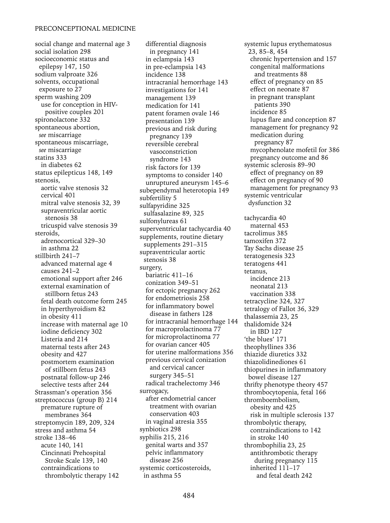social change and maternal age 3 social isolation 298 socioeconomic status and epilepsy 147, 150 sodium valproate 326 solvents, occupational exposure to 27 sperm washing 209 use for conception in HIVpositive couples 201 spironolactone 332 spontaneous abortion, *see* miscarriage spontaneous miscarriage, *see* miscarriage statins 333 in diabetes 62 status epilepticus 148, 149 stenosis, aortic valve stenosis 32 cervical 401 mitral valve stenosis 32, 39 supraventricular aortic stenosis 38 tricuspid valve stenosis 39 steroids, adrenocortical 329–30 in asthma 22 stillbirth 241–7 advanced maternal age 4 causes 241–2 emotional support after 246 external examination of stillborn fetus 243 fetal death outcome form 245 in hyperthyroidism 82 in obesity 411 increase with maternal age 10 iodine deficiency 302 Listeria and 214 maternal tests after 243 obesity and 427 postmortem examination of stillborn fetus 243 postnatal follow-up 246 selective tests after 244 Strassman's operation 356 streptococcus (group B) 214 premature rupture of membranes 364 streptomycin 189, 209, 324 stress and asthma 54 stroke 138–46 acute 140, 141 Cincinnati Prehospital Stroke Scale 139, 140 contraindications to thrombolytic therapy 142

differential diagnosis in pregnancy 141 in eclampsia 143 in pre-eclampsia 143 incidence 138 intracranial hemorrhage 143 investigations for 141 management 139 medication for 141 patent foramen ovale 146 presentation 139 previous and risk during pregnancy 139 reversible cerebral vasoconstriction syndrome 143 risk factors for 139 symptoms to consider 140 unruptured aneurysm 145–6 subependymal heterotopia 149 subfertility 5 sulfapyridine 325 sulfasalazine 89, 325 sulfonylureas 61 superventricular tachycardia 40 supplements, routine dietary supplements 291–315 supraventricular aortic stenosis 38 surgery, bariatric 411–16 conization 349–51 for ectopic pregnancy 262 for endometriosis 258 for inflammatory bowel disease in fathers 128 for intracranial hemorrhage 144 for macroprolactinoma 77 for microprolactinoma 77 for ovarian cancer 405 for uterine malformations 356 previous cervical conization and cervical cancer surgery 345–51 radical trachelectomy 346 surrogacy, after endometrial cancer treatment with ovarian conservation 403 in vaginal atresia 355 synbiotics 298 syphilis 215, 216 genital warts and 357 pelvic inflammatory disease 256 systemic corticosteroids, in asthma 55

systemic lupus erythematosus 23, 85–8, 454 chronic hypertension and 157 congenital malformations and treatments 88 effect of pregnancy on 85 effect on neonate 87 in pregnant transplant patients 390 incidence 85 lupus flare and conception 87 management for pregnancy 92 medication during pregnancy 87 mycophenolate mofetil for 386 pregnancy outcome and 86 systemic sclerosis 89–90 effect of pregnancy on 89 effect on pregnancy of 90 management for pregnancy 93 systemic ventricular dysfunction 32 tachycardia 40 maternal 453 tacrolimus 385 tamoxifen 372 Tay Sachs disease 25 teratogenesis 323 teratogens 441 tetanus, incidence 213 neonatal 213 vaccination 338 tetracycline 324, 327 tetralogy of Fallot 36, 329 thalassemia 23, 25 thalidomide 324 in IBD 127 'the blues' 171 theophyllines 336 thiazide diuretics 332 thiazolidinediones 61 thiopurines in inflammatory bowel disease 127 thrifty phenotype theory 457 thrombocytopenia, fetal 166 thromboembolism, obesity and 425 risk in multiple sclerosis 137 thrombolytic therapy, contraindications to 142 in stroke 140 thrombophilia 23, 25 antithrombotic therapy during pregnancy 115 inherited 111–17 and fetal death 242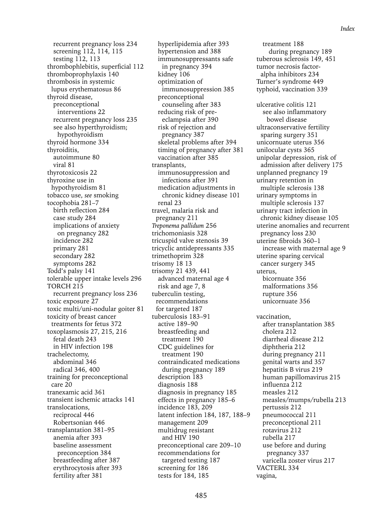*Index*

recurrent pregnancy loss 234 screening 112, 114, 115 testing 112, 113 thrombophlebitis, superficial 112 thromboprophylaxis 140 thrombosis in systemic lupus erythematosus 86 thyroid disease, preconceptional interventions 22 recurrent pregnancy loss 235 see also hyperthyroidism; hypothyroidism thyroid hormone 334 thyroiditis, autoimmune 80 viral 81 thyrotoxicosis 22 thyroxine use in hypothyroidism 81 tobacco use, *see* smoking tocophobia 281–7 birth reflection 284 case study 284 implications of anxiety on pregnancy 282 incidence 282 primary 281 secondary 282 symptoms 282 Todd's palsy 141 tolerable upper intake levels 296 TORCH 215 recurrent pregnancy loss 236 toxic exposure 27 toxic multi/uni-nodular goiter 81 toxicity of breast cancer treatments for fetus 372 toxoplasmosis 27, 215, 216 fetal death 243 in HIV infection 198 trachelectomy, abdominal 346 radical 346, 400 training for preconceptional care 20 tranexamic acid 361 transient ischemic attacks 141 translocations, reciprocal 446 Robertsonian 446 transplantation 381–95 anemia after 393 baseline assessment preconception 384 breastfeeding after 387 erythrocytosis after 393 fertility after 381

hyperlipidemia after 393 hypertension and 388 immunosuppressants safe in pregnancy 394 kidney 106 optimization of immunosuppression 385 preconceptional counseling after 383 reducing risk of preeclampsia after 390 risk of rejection and pregnancy 387 skeletal problems after 394 timing of pregnancy after 381 vaccination after 385 transplants, immunosuppression and infections after 391 medication adjustments in chronic kidney disease 101 renal 23 travel, malaria risk and pregnancy 211 *Treponema pallidum* 256 trichomoniasis 328 tricuspid valve stenosis 39 tricyclic antidepressants 335 trimethoprim 328 trisomy 18 13 trisomy 21 439, 441 advanced maternal age 4 risk and age 7, 8 tuberculin testing, recommendations for targeted 187 tuberculosis 183–91 active 189–90 breastfeeding and treatment 190 CDC guidelines for treatment 190 contraindicated medications during pregnancy 189 description 183 diagnosis 188 diagnosis in pregnancy 185 effects in pregnancy 185–6 incidence 183, 209 latent infection 184, 187, 188–9 management 209 multidrug resistant and HIV 190 preconceptional care 209–10 recommendations for targeted testing 187 screening for 186 tests for 184, 185

treatment 188 during pregnancy 189 tuberous sclerosis 149, 451 tumor necrosis factoralpha inhibitors 234 Turner's syndrome 449 typhoid, vaccination 339

ulcerative colitis 121 see also inflammatory bowel disease ultraconservative fertility sparing surgery 351 unicornuate uterus 356 unilocular cysts 365 unipolar depression, risk of admission after delivery 175 unplanned pregnancy 19 urinary retention in multiple sclerosis 138 urinary symptoms in multiple sclerosis 137 urinary tract infection in chronic kidney disease 105 uterine anomalies and recurrent pregnancy loss 230 uterine fibroids 360–1 increase with maternal age 9 uterine sparing cervical cancer surgery 345 uterus, bicornuate 356 malformations 356 rupture 356 unicornuate 356 vaccination, after transplantation 385 cholera 212 diarrheal disease 212 diphtheria 212 during pregnancy 211 genital warts and 357 hepatitis B virus 219 human papillomavirus 215 influenza 212 measles 212 measles/mumps/rubella 213 pertussis 212 pneumococcal 211

preconceptional 211 rotavirus 212 rubella 217

use before and during pregnancy 337 varicella zoster virus 217

VACTERL 334 vagina,